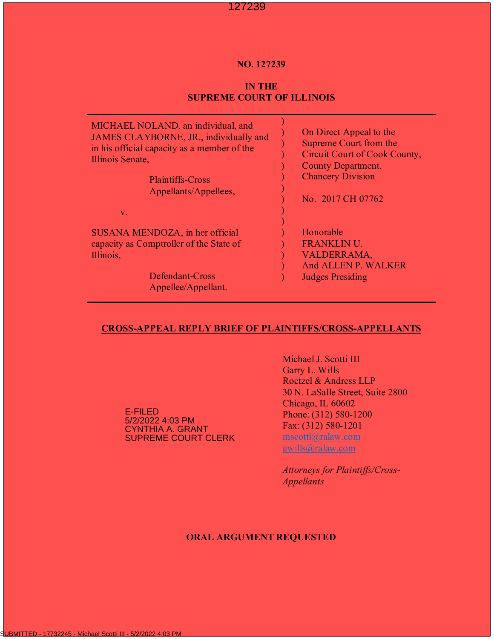#### **NO. 127239**

# **IN THE SUPREME COURT OF ILLINOIS**

| MICHAEL NOLAND, an individual, and          | On Direct Appeal to the       |
|---------------------------------------------|-------------------------------|
| JAMES CLAYBORNE, JR., individually and      | Supreme Court from the        |
| in his official capacity as a member of the | Circuit Court of Cook County, |
| Illinois Senate,                            | <b>County Department,</b>     |
| <b>Plaintiffs-Cross</b>                     | <b>Chancery Division</b>      |
| Appellants/Appellees,                       | No. 2017 CH 07762             |
| $V_{\star}$                                 |                               |
| SUSANA MENDOZA, in her official             | Honorable                     |
| capacity as Comptroller of the State of     | <b>FRANKLIN U.</b>            |
| Illinois,                                   | VALDERRAMA,                   |
| Defendant-Cross                             | And ALLEN P. WALKER           |
| Appellee/Appellant.                         | <b>Judges Presiding</b>       |

#### **CROSS-APPEAL REPLY BRIEF OF PLAINTIFFS/CROSS-APPELLANTS**

E-FILED 5/2/2022 4:03 PM CYNTHIA A. GRANT SUPREME COURT CLERK

Michael J. Scotti III Garry L. Wills Roetzel & Andress LLP 30 N. LaSalle Street, Suite 2800 Chicago, IL 60602 Phone: (312) 580-1200 Fax: (312) 580-1201

mscotti@ralaw.com gwills@ralaw.com

*Attorneys for Plaintiffs/Cross-Appellants*

### **ORAL ARGUMENT REQUESTED**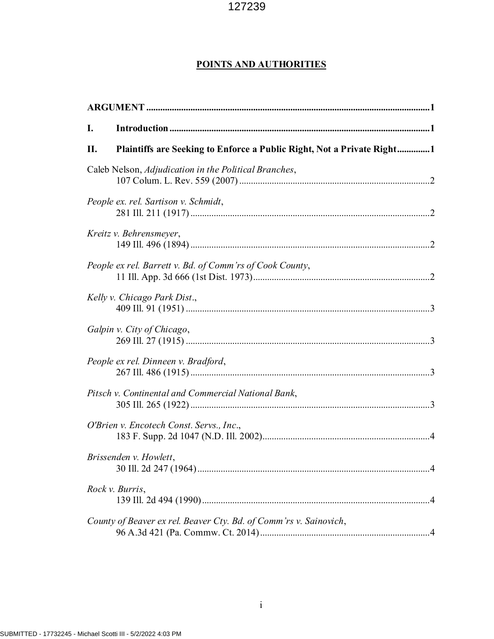# **POINTS AND AUTHORITIES**

| I. |                                                                        |  |
|----|------------------------------------------------------------------------|--|
| П. | Plaintiffs are Seeking to Enforce a Public Right, Not a Private Right1 |  |
|    | Caleb Nelson, Adjudication in the Political Branches,                  |  |
|    | People ex. rel. Sartison v. Schmidt,                                   |  |
|    | Kreitz v. Behrensmeyer,                                                |  |
|    | People ex rel. Barrett v. Bd. of Comm'rs of Cook County,               |  |
|    | Kelly v. Chicago Park Dist.,                                           |  |
|    | Galpin v. City of Chicago,                                             |  |
|    | People ex rel. Dinneen v. Bradford,                                    |  |
|    | Pitsch v. Continental and Commercial National Bank,                    |  |
|    | O'Brien v. Encotech Const. Servs., Inc.,                               |  |
|    | Brissenden v. Howlett,                                                 |  |
|    | Rock v. Burris,                                                        |  |
|    | County of Beaver ex rel. Beaver Cty. Bd. of Comm'rs v. Sainovich,      |  |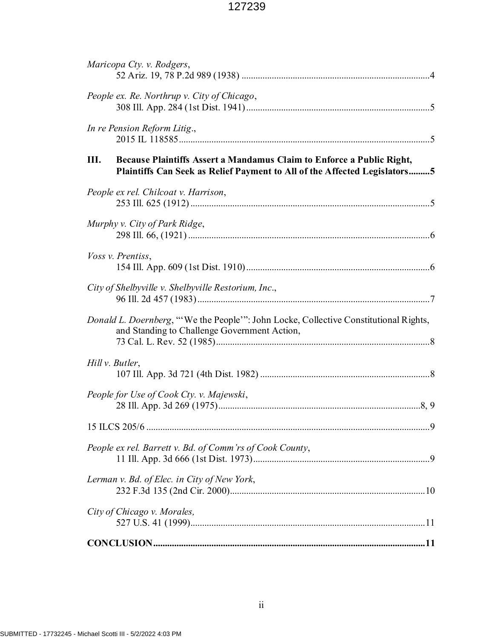| Maricopa Cty. v. Rodgers,                                                                                                                                |
|----------------------------------------------------------------------------------------------------------------------------------------------------------|
| People ex. Re. Northrup v. City of Chicago,                                                                                                              |
| In re Pension Reform Litig.,                                                                                                                             |
| Ш.<br>Because Plaintiffs Assert a Mandamus Claim to Enforce a Public Right,<br>Plaintiffs Can Seek as Relief Payment to All of the Affected Legislators5 |
| People ex rel. Chilcoat v. Harrison,                                                                                                                     |
| Murphy v. City of Park Ridge,                                                                                                                            |
| Voss v. Prentiss,                                                                                                                                        |
| City of Shelbyville v. Shelbyville Restorium, Inc.,                                                                                                      |
| Donald L. Doernberg, "'We the People'": John Locke, Collective Constitutional Rights,<br>and Standing to Challenge Government Action,                    |
| Hill v. Butler,                                                                                                                                          |
| People for Use of Cook Cty. v. Majewski,                                                                                                                 |
|                                                                                                                                                          |
| People ex rel. Barrett v. Bd. of Comm'rs of Cook County,                                                                                                 |
| Lerman v. Bd. of Elec. in City of New York,                                                                                                              |
| City of Chicago v. Morales,                                                                                                                              |
|                                                                                                                                                          |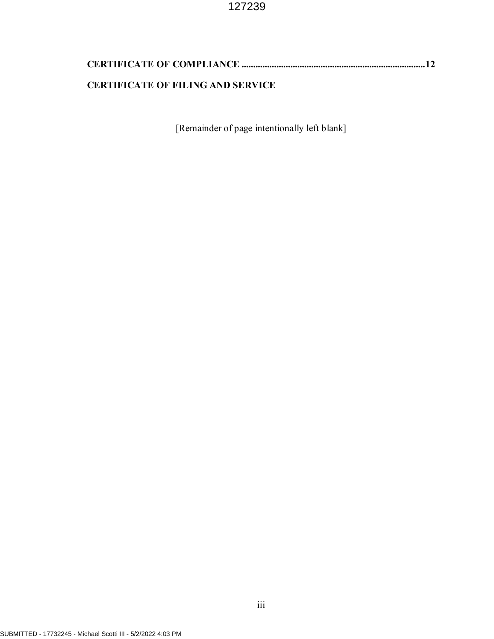| <b>CERTIFICATE OF FILING AND SERVICE</b> |  |
|------------------------------------------|--|

[Remainder of page intentionally left blank]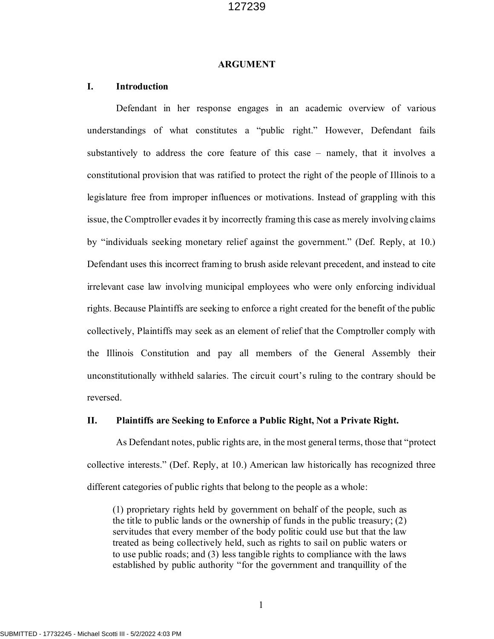#### **ARGUMENT**

#### **I. Introduction**

Defendant in her response engages in an academic overview of various understandings of what constitutes a "public right." However, Defendant fails substantively to address the core feature of this case – namely, that it involves a constitutional provision that was ratified to protect the right of the people of Illinois to a legislature free from improper influences or motivations. Instead of grappling with this issue, the Comptroller evades it by incorrectly framing this case as merely involving claims by "individuals seeking monetary relief against the government." (Def. Reply, at 10.) Defendant uses this incorrect framing to brush aside relevant precedent, and instead to cite irrelevant case law involving municipal employees who were only enforcing individual rights. Because Plaintiffs are seeking to enforce a right created for the benefit of the public collectively, Plaintiffs may seek as an element of relief that the Comptroller comply with the Illinois Constitution and pay all members of the General Assembly their unconstitutionally withheld salaries. The circuit court's ruling to the contrary should be reversed.

#### **II. Plaintiffs are Seeking to Enforce a Public Right, Not a Private Right.**

As Defendant notes, public rights are, in the most general terms, those that "protect collective interests." (Def. Reply, at 10.) American law historically has recognized three different categories of public rights that belong to the people as a whole:

(1) proprietary rights held by government on behalf of the people, such as the title to public lands or the ownership of funds in the public treasury; (2) servitudes that every member of the body politic could use but that the law treated as being collectively held, such as rights to sail on public waters or to use public roads; and (3) less tangible rights to compliance with the laws established by public authority "for the government and tranquillity of the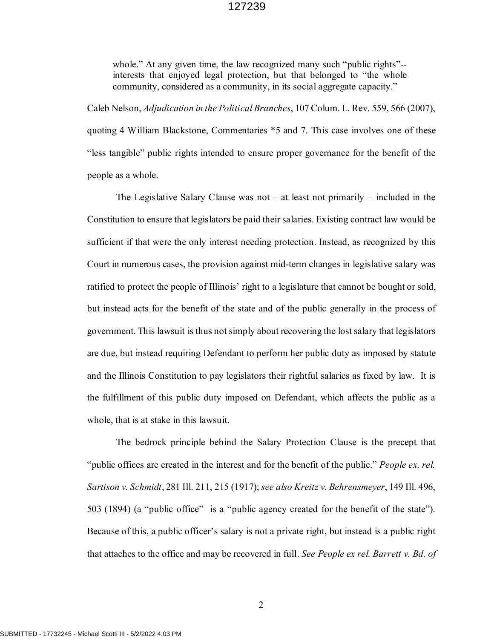whole." At any given time, the law recognized many such "public rights"-interests that enjoyed legal protection, but that belonged to "the whole community, considered as a community, in its social aggregate capacity."

Caleb Nelson, *Adjudication in the Political Branches*, 107 Colum. L. Rev. 559, 566 (2007), quoting 4 William Blackstone, Commentaries \*5 and 7. This case involves one of these "less tangible" public rights intended to ensure proper governance for the benefit of the people as a whole.

The Legislative Salary Clause was not – at least not primarily – included in the Constitution to ensure that legislators be paid their salaries. Existing contract law would be sufficient if that were the only interest needing protection. Instead, as recognized by this Court in numerous cases, the provision against mid-term changes in legislative salary was ratified to protect the people of Illinois' right to a legislature that cannot be bought or sold, but instead acts for the benefit of the state and of the public generally in the process of government. This lawsuit is thus not simply about recovering the lost salary that legislators are due, but instead requiring Defendant to perform her public duty as imposed by statute and the Illinois Constitution to pay legislators their rightful salaries as fixed by law. It is the fulfillment of this public duty imposed on Defendant, which affects the public as a whole, that is at stake in this lawsuit.

The bedrock principle behind the Salary Protection Clause is the precept that "public offices are created in the interest and for the benefit of the public." *People ex. rel. Sartison v. Schmidt*, 281 Ill. 211, 215 (1917); *see also Kreitz v. Behrensmeyer*, 149 Ill. 496, 503 (1894) (a "public office" is a "public agency created for the benefit of the state"). Because of this, a public officer's salary is not a private right, but instead is a public right that attaches to the office and may be recovered in full. *See People ex rel. Barrett v. Bd. of*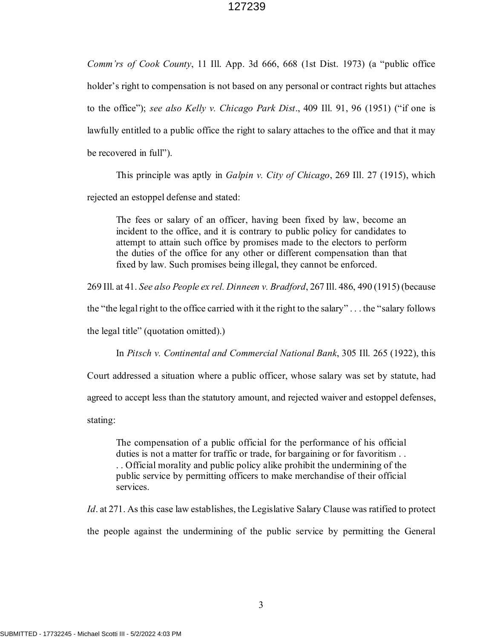*Comm'rs of Cook County*, 11 Ill. App. 3d 666, 668 (1st Dist. 1973) (a "public office holder's right to compensation is not based on any personal or contract rights but attaches to the office"); *see also Kelly v. Chicago Park Dist*., 409 Ill. 91, 96 (1951) ("if one is lawfully entitled to a public office the right to salary attaches to the office and that it may be recovered in full").

This principle was aptly in *Galpin v. City of Chicago*, 269 Ill. 27 (1915), which rejected an estoppel defense and stated:

The fees or salary of an officer, having been fixed by law, become an incident to the office, and it is contrary to public policy for candidates to attempt to attain such office by promises made to the electors to perform the duties of the office for any other or different compensation than that fixed by law. Such promises being illegal, they cannot be enforced.

269 Ill. at 41. *See also People ex rel. Dinneen v. Bradford*, 267 Ill. 486, 490 (1915) (because

the "the legal right to the office carried with it the right to the salary" . . . the "salary follows

the legal title" (quotation omitted).)

In *Pitsch v. Continental and Commercial National Bank*, 305 Ill. 265 (1922), this

Court addressed a situation where a public officer, whose salary was set by statute, had

agreed to accept less than the statutory amount, and rejected waiver and estoppel defenses,

stating:

The compensation of a public official for the performance of his official duties is not a matter for traffic or trade, for bargaining or for favoritism . . . . Official morality and public policy alike prohibit the undermining of the public service by permitting officers to make merchandise of their official services.

*Id*. at 271. As this case law establishes, the Legislative Salary Clause was ratified to protect the people against the undermining of the public service by permitting the General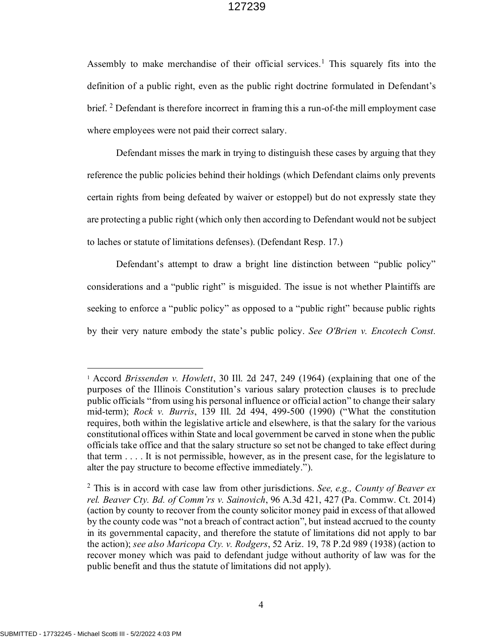Assembly to make merchandise of their official services.<sup>1</sup> This squarely fits into the definition of a public right, even as the public right doctrine formulated in Defendant's brief.<sup>2</sup> Defendant is therefore incorrect in framing this a run-of-the mill employment case where employees were not paid their correct salary.

Defendant misses the mark in trying to distinguish these cases by arguing that they reference the public policies behind their holdings (which Defendant claims only prevents certain rights from being defeated by waiver or estoppel) but do not expressly state they are protecting a public right (which only then according to Defendant would not be subject to laches or statute of limitations defenses). (Defendant Resp. 17.)

Defendant's attempt to draw a bright line distinction between "public policy" considerations and a "public right" is misguided. The issue is not whether Plaintiffs are seeking to enforce a "public policy" as opposed to a "public right" because public rights by their very nature embody the state's public policy. *See O'Brien v. Encotech Const.* 

<sup>1</sup> Accord *Brissenden v. Howlett*, 30 Ill. 2d 247, 249 (1964) (explaining that one of the purposes of the Illinois Constitution's various salary protection clauses is to preclude public officials "from using his personal influence or official action" to change their salary mid-term); *Rock v. Burris*, 139 Ill. 2d 494, 499-500 (1990) ("What the constitution requires, both within the legislative article and elsewhere, is that the salary for the various constitutional offices within State and local government be carved in stone when the public officials take office and that the salary structure so set not be changed to take effect during that term . . . . It is not permissible, however, as in the present case, for the legislature to alter the pay structure to become effective immediately.").

<sup>2</sup> This is in accord with case law from other jurisdictions. *See, e.g., County of Beaver ex rel. Beaver Cty. Bd. of Comm'rs v. Sainovich*, 96 A.3d 421, 427 (Pa. Commw. Ct. 2014) (action by county to recover from the county solicitor money paid in excess of that allowed by the county code was "not a breach of contract action", but instead accrued to the county in its governmental capacity, and therefore the statute of limitations did not apply to bar the action); *see also Maricopa Cty. v. Rodgers*, 52 Ariz. 19, 78 P.2d 989 (1938) (action to recover money which was paid to defendant judge without authority of law was for the public benefit and thus the statute of limitations did not apply).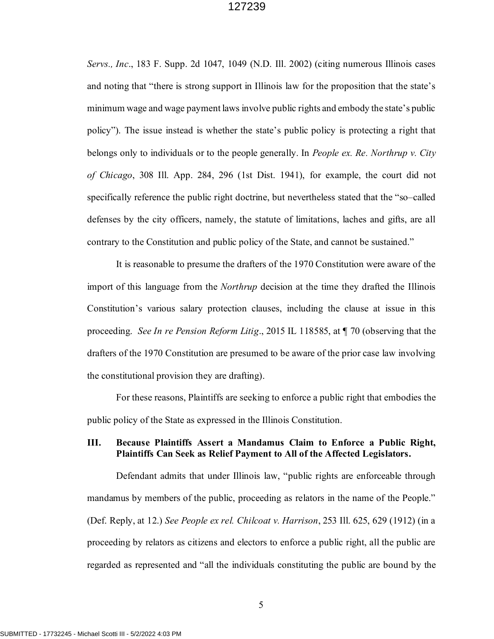*Servs., Inc*., 183 F. Supp. 2d 1047, 1049 (N.D. Ill. 2002) (citing numerous Illinois cases and noting that "there is strong support in Illinois law for the proposition that the state's minimum wage and wage payment laws involve public rights and embody the state's public policy"). The issue instead is whether the state's public policy is protecting a right that belongs only to individuals or to the people generally. In *People ex. Re. Northrup v. City of Chicago*, 308 Ill. App. 284, 296 (1st Dist. 1941), for example, the court did not specifically reference the public right doctrine, but nevertheless stated that the "so–called defenses by the city officers, namely, the statute of limitations, laches and gifts, are all contrary to the Constitution and public policy of the State, and cannot be sustained."

It is reasonable to presume the drafters of the 1970 Constitution were aware of the import of this language from the *Northrup* decision at the time they drafted the Illinois Constitution's various salary protection clauses, including the clause at issue in this proceeding. *See In re Pension Reform Litig*., 2015 IL 118585, at ¶ 70 (observing that the drafters of the 1970 Constitution are presumed to be aware of the prior case law involving the constitutional provision they are drafting).

For these reasons, Plaintiffs are seeking to enforce a public right that embodies the public policy of the State as expressed in the Illinois Constitution.

#### **III. Because Plaintiffs Assert a Mandamus Claim to Enforce a Public Right, Plaintiffs Can Seek as Relief Payment to All of the Affected Legislators.**

Defendant admits that under Illinois law, "public rights are enforceable through mandamus by members of the public, proceeding as relators in the name of the People." (Def. Reply, at 12.) *See People ex rel. Chilcoat v. Harrison*, 253 Ill. 625, 629 (1912) (in a proceeding by relators as citizens and electors to enforce a public right, all the public are regarded as represented and "all the individuals constituting the public are bound by the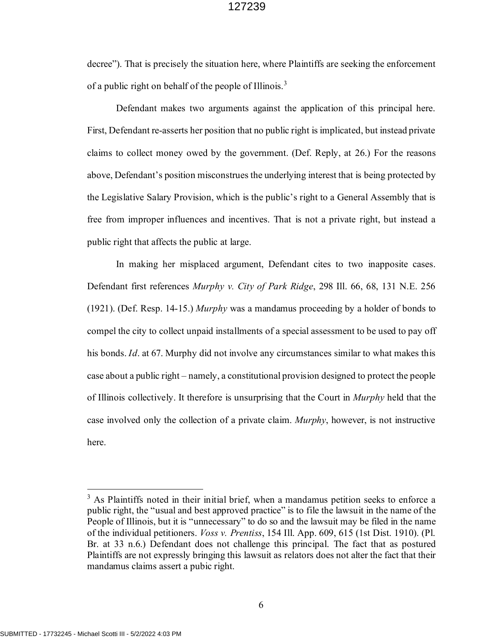decree"). That is precisely the situation here, where Plaintiffs are seeking the enforcement of a public right on behalf of the people of Illinois.<sup>3</sup>

Defendant makes two arguments against the application of this principal here. First, Defendant re-asserts her position that no public right is implicated, but instead private claims to collect money owed by the government. (Def. Reply, at 26.) For the reasons above, Defendant's position misconstrues the underlying interest that is being protected by the Legislative Salary Provision, which is the public's right to a General Assembly that is free from improper influences and incentives. That is not a private right, but instead a public right that affects the public at large.

In making her misplaced argument, Defendant cites to two inapposite cases. Defendant first references *Murphy v. City of Park Ridge*, 298 Ill. 66, 68, 131 N.E. 256 (1921). (Def. Resp. 14-15.) *Murphy* was a mandamus proceeding by a holder of bonds to compel the city to collect unpaid installments of a special assessment to be used to pay off his bonds. *Id*. at 67. Murphy did not involve any circumstances similar to what makes this case about a public right – namely, a constitutional provision designed to protect the people of Illinois collectively. It therefore is unsurprising that the Court in *Murphy* held that the case involved only the collection of a private claim. *Murphy*, however, is not instructive here.

<sup>&</sup>lt;sup>3</sup> As Plaintiffs noted in their initial brief, when a mandamus petition seeks to enforce a public right, the "usual and best approved practice" is to file the lawsuit in the name of the People of Illinois, but it is "unnecessary" to do so and the lawsuit may be filed in the name of the individual petitioners. *Voss v. Prentiss*, 154 Ill. App. 609, 615 (1st Dist. 1910). (Pl. Br. at 33 n.6.) Defendant does not challenge this principal. The fact that as postured Plaintiffs are not expressly bringing this lawsuit as relators does not alter the fact that their mandamus claims assert a pubic right.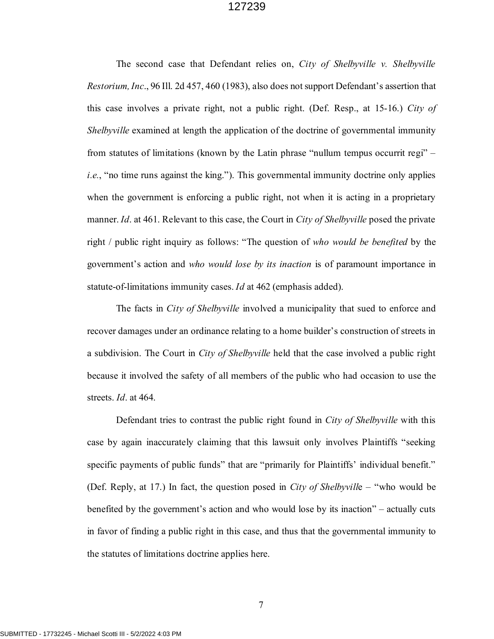The second case that Defendant relies on, *City of Shelbyville v. Shelbyville Restorium, Inc*., 96 Ill. 2d 457, 460 (1983), also does not support Defendant's assertion that this case involves a private right, not a public right. (Def. Resp., at 15-16.) *City of Shelbyville* examined at length the application of the doctrine of governmental immunity from statutes of limitations (known by the Latin phrase "nullum tempus occurrit regi" – *i.e.*, "no time runs against the king."). This governmental immunity doctrine only applies when the government is enforcing a public right, not when it is acting in a proprietary manner. *Id*. at 461. Relevant to this case, the Court in *City of Shelbyville* posed the private right / public right inquiry as follows: "The question of *who would be benefited* by the government's action and *who would lose by its inaction* is of paramount importance in statute-of-limitations immunity cases. *Id* at 462 (emphasis added).

The facts in *City of Shelbyville* involved a municipality that sued to enforce and recover damages under an ordinance relating to a home builder's construction of streets in a subdivision. The Court in *City of Shelbyville* held that the case involved a public right because it involved the safety of all members of the public who had occasion to use the streets. *Id*. at 464.

Defendant tries to contrast the public right found in *City of Shelbyville* with this case by again inaccurately claiming that this lawsuit only involves Plaintiffs "seeking specific payments of public funds" that are "primarily for Plaintiffs' individual benefit." (Def. Reply, at 17.) In fact, the question posed in *City of Shelbyvill*e – "who would be benefited by the government's action and who would lose by its inaction" – actually cuts in favor of finding a public right in this case, and thus that the governmental immunity to the statutes of limitations doctrine applies here.

7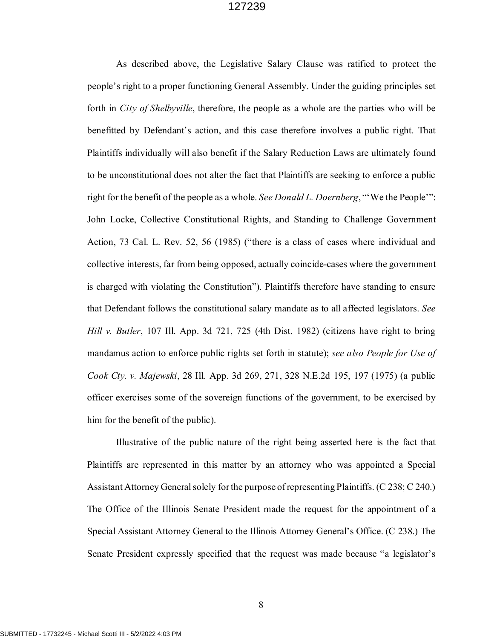As described above, the Legislative Salary Clause was ratified to protect the people's right to a proper functioning General Assembly. Under the guiding principles set forth in *City of Shelbyville*, therefore, the people as a whole are the parties who will be benefitted by Defendant's action, and this case therefore involves a public right. That Plaintiffs individually will also benefit if the Salary Reduction Laws are ultimately found to be unconstitutional does not alter the fact that Plaintiffs are seeking to enforce a public right for the benefit of the people as a whole. *See Donald L. Doernberg*, "'We the People'": John Locke, Collective Constitutional Rights, and Standing to Challenge Government Action, 73 Cal. L. Rev. 52, 56 (1985) ("there is a class of cases where individual and collective interests, far from being opposed, actually coincide-cases where the government is charged with violating the Constitution"). Plaintiffs therefore have standing to ensure that Defendant follows the constitutional salary mandate as to all affected legislators. *See Hill v. Butler*, 107 Ill. App. 3d 721, 725 (4th Dist. 1982) (citizens have right to bring mandamus action to enforce public rights set forth in statute); *see also People for Use of Cook Cty. v. Majewski*, 28 Ill. App. 3d 269, 271, 328 N.E.2d 195, 197 (1975) (a public officer exercises some of the sovereign functions of the government, to be exercised by him for the benefit of the public).

Illustrative of the public nature of the right being asserted here is the fact that Plaintiffs are represented in this matter by an attorney who was appointed a Special Assistant Attorney General solely for the purpose of representing Plaintiffs. (C 238; C 240.) The Office of the Illinois Senate President made the request for the appointment of a Special Assistant Attorney General to the Illinois Attorney General's Office. (C 238.) The Senate President expressly specified that the request was made because "a legislator's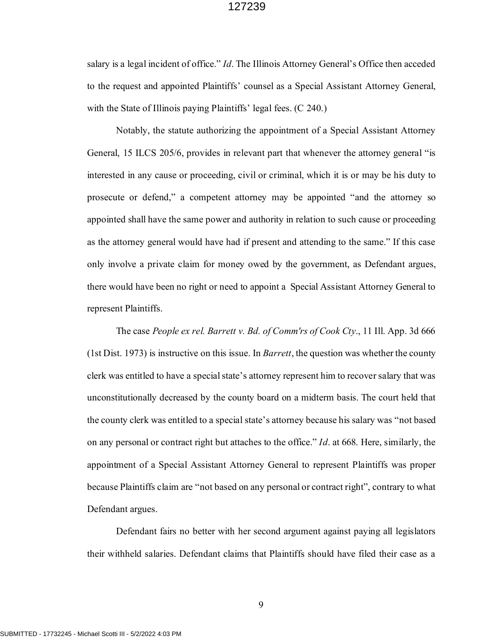salary is a legal incident of office." *Id*. The Illinois Attorney General's Office then acceded to the request and appointed Plaintiffs' counsel as a Special Assistant Attorney General, with the State of Illinois paying Plaintiffs' legal fees. (C 240.)

Notably, the statute authorizing the appointment of a Special Assistant Attorney General, 15 ILCS 205/6, provides in relevant part that whenever the attorney general "is interested in any cause or proceeding, civil or criminal, which it is or may be his duty to prosecute or defend," a competent attorney may be appointed "and the attorney so appointed shall have the same power and authority in relation to such cause or proceeding as the attorney general would have had if present and attending to the same." If this case only involve a private claim for money owed by the government, as Defendant argues, there would have been no right or need to appoint a Special Assistant Attorney General to represent Plaintiffs.

The case *People ex rel. Barrett v. Bd. of Comm'rs of Cook Cty*., 11 Ill. App. 3d 666 (1st Dist. 1973) is instructive on this issue. In *Barrett*, the question was whether the county clerk was entitled to have a special state's attorney represent him to recover salary that was unconstitutionally decreased by the county board on a midterm basis. The court held that the county clerk was entitled to a special state's attorney because his salary was "not based on any personal or contract right but attaches to the office." *Id*. at 668. Here, similarly, the appointment of a Special Assistant Attorney General to represent Plaintiffs was proper because Plaintiffs claim are "not based on any personal or contract right", contrary to what Defendant argues.

Defendant fairs no better with her second argument against paying all legislators their withheld salaries. Defendant claims that Plaintiffs should have filed their case as a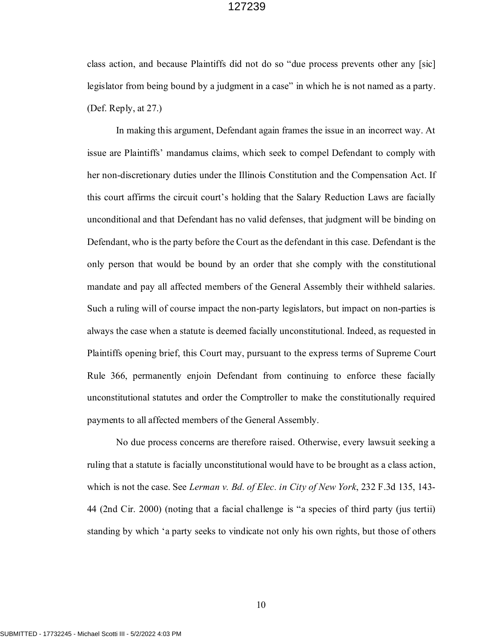class action, and because Plaintiffs did not do so "due process prevents other any [sic] legislator from being bound by a judgment in a case" in which he is not named as a party. (Def. Reply, at 27.)

In making this argument, Defendant again frames the issue in an incorrect way. At issue are Plaintiffs' mandamus claims, which seek to compel Defendant to comply with her non-discretionary duties under the Illinois Constitution and the Compensation Act. If this court affirms the circuit court's holding that the Salary Reduction Laws are facially unconditional and that Defendant has no valid defenses, that judgment will be binding on Defendant, who is the party before the Court as the defendant in this case. Defendant is the only person that would be bound by an order that she comply with the constitutional mandate and pay all affected members of the General Assembly their withheld salaries. Such a ruling will of course impact the non-party legislators, but impact on non-parties is always the case when a statute is deemed facially unconstitutional. Indeed, as requested in Plaintiffs opening brief, this Court may, pursuant to the express terms of Supreme Court Rule 366, permanently enjoin Defendant from continuing to enforce these facially unconstitutional statutes and order the Comptroller to make the constitutionally required payments to all affected members of the General Assembly.

No due process concerns are therefore raised. Otherwise, every lawsuit seeking a ruling that a statute is facially unconstitutional would have to be brought as a class action, which is not the case. See *Lerman v. Bd. of Elec. in City of New York*, 232 F.3d 135, 143- 44 (2nd Cir. 2000) (noting that a facial challenge is "a species of third party (jus tertii) standing by which 'a party seeks to vindicate not only his own rights, but those of others

10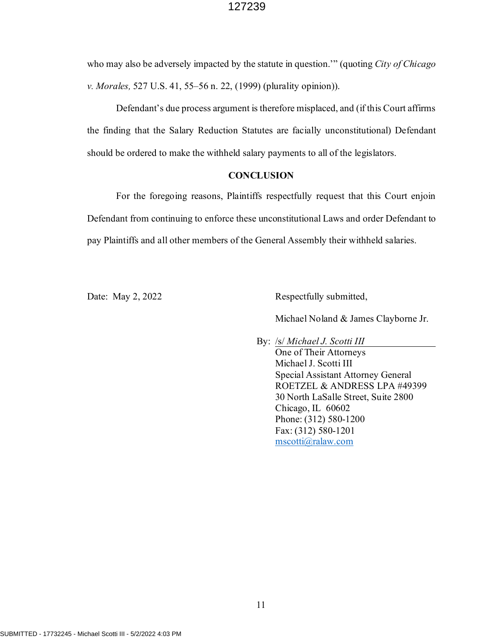who may also be adversely impacted by the statute in question.'" (quoting *City of Chicago v. Morales,* 527 U.S. 41, 55–56 n. 22, (1999) (plurality opinion)).

Defendant's due process argument is therefore misplaced, and (if this Court affirms the finding that the Salary Reduction Statutes are facially unconstitutional) Defendant should be ordered to make the withheld salary payments to all of the legislators.

#### **CONCLUSION**

For the foregoing reasons, Plaintiffs respectfully request that this Court enjoin Defendant from continuing to enforce these unconstitutional Laws and order Defendant to pay Plaintiffs and all other members of the General Assembly their withheld salaries.

Date: May 2, 2022 Respectfully submitted,

Michael Noland & James Clayborne Jr.

By: /s/ *Michael J. Scotti III* One of Their Attorneys Michael J. Scotti III Special Assistant Attorney General ROETZEL & ANDRESS LPA #49399 30 North LaSalle Street, Suite 2800 Chicago, IL 60602 Phone: (312) 580-1200 Fax: (312) 580-1201 mscotti@ralaw.com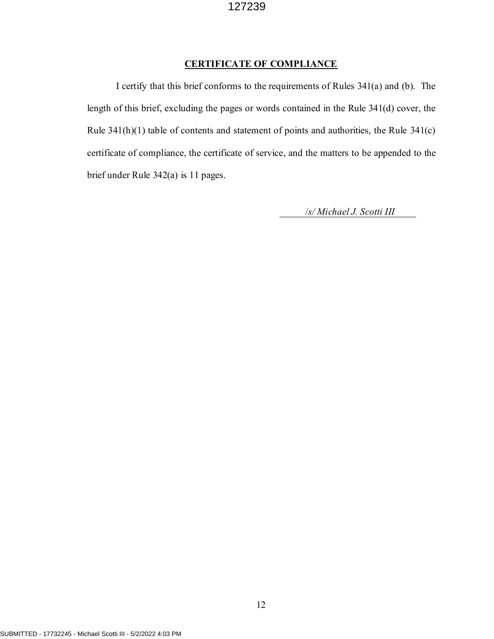# **CERTIFICATE OF COMPLIANCE**

I certify that this brief conforms to the requirements of Rules 341(a) and (b). The length of this brief, excluding the pages or words contained in the Rule 341(d) cover, the Rule 341(h)(1) table of contents and statement of points and authorities, the Rule 341(c) certificate of compliance, the certificate of service, and the matters to be appended to the brief under Rule 342(a) is 11 pages.

/*s/ Michael J. Scotti III*